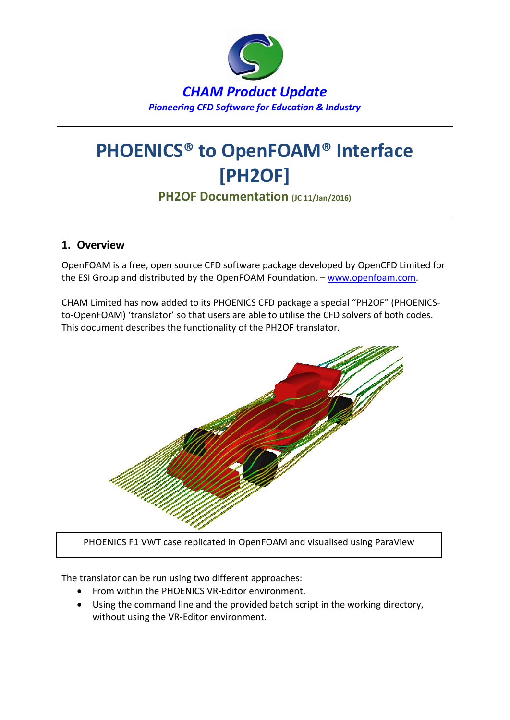

# **PHOENICS® to OpenFOAM® Interface [PH2OF]**

**PH2OF Documentation (JC 11/Jan/2016)**

## **1. Overview**

OpenFOAM is a free, open source CFD software package developed by OpenCFD Limited for the ESI Group and distributed by the OpenFOAM Foundation. – [www.openfoam.com.](http://www.openfoam.com/)

CHAM Limited has now added to its PHOENICS CFD package a special "PH2OF" (PHOENICSto-OpenFOAM) 'translator' so that users are able to utilise the CFD solvers of both codes. This document describes the functionality of the PH2OF translator.



PHOENICS F1 VWT case replicated in OpenFOAM and visualised using ParaView

The translator can be run using two different approaches:

- From within the PHOENICS VR-Editor environment.
- Using the command line and the provided batch script in the working directory, without using the VR-Editor environment.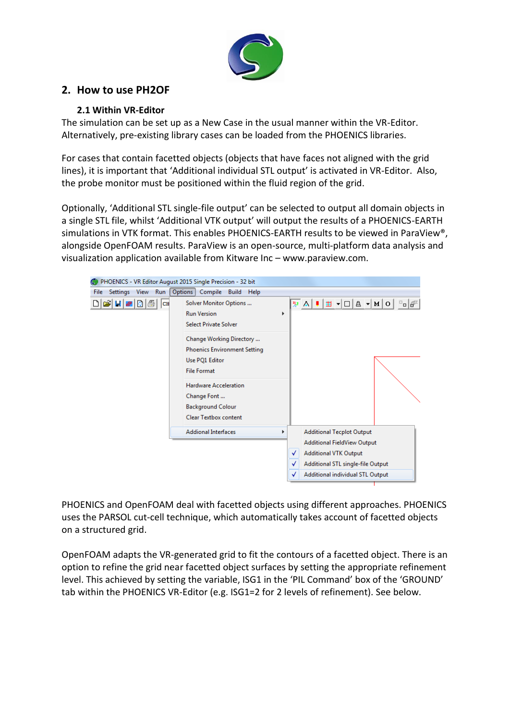

## **2. How to use PH2OF**

## **2.1 Within VR-Editor**

The simulation can be set up as a New Case in the usual manner within the VR-Editor. Alternatively, pre-existing library cases can be loaded from the PHOENICS libraries.

For cases that contain facetted objects (objects that have faces not aligned with the grid lines), it is important that 'Additional individual STL output' is activated in VR-Editor. Also, the probe monitor must be positioned within the fluid region of the grid.

Optionally, 'Additional STL single-file output' can be selected to output all domain objects in a single STL file, whilst 'Additional VTK output' will output the results of a PHOENICS-EARTH simulations in VTK format. This enables PHOENICS-EARTH results to be viewed in ParaView®, alongside OpenFOAM results. ParaView is an open-source, multi-platform data analysis and visualization application available from Kitware Inc – www.paraview.com.

| PHOENICS - VR Editor August 2015 Single Precision - 32 bit                |                                                                                                         |   |                                                                                  |
|---------------------------------------------------------------------------|---------------------------------------------------------------------------------------------------------|---|----------------------------------------------------------------------------------|
| Settings View Run<br><b>File</b>                                          | Options<br>Compile Build<br>Help                                                                        |   |                                                                                  |
| $\mathcal{C}$ H $\mathcal{B}$ 0 $\mathcal{B}$ $\mathcal{C}$ $\mathcal{C}$ | Solver Monitor Options<br><b>Run Version</b><br><b>Select Private Solver</b>                            |   | " D A V A U H<br>$\overline{\phantom{a}}$ o $\overline{\phantom{a}}$<br>¦" ਨ   ∎ |
|                                                                           | Change Working Directory<br><b>Phoenics Environment Setting</b><br>Use PQ1 Editor<br><b>File Format</b> |   |                                                                                  |
|                                                                           | <b>Hardware Acceleration</b><br>Change Font<br><b>Background Colour</b><br><b>Clear Textbox content</b> |   |                                                                                  |
|                                                                           | <b>Addional Interfaces</b>                                                                              | ▶ | <b>Additional Tecplot Output</b>                                                 |
|                                                                           |                                                                                                         |   | <b>Additional FieldView Output</b>                                               |
|                                                                           |                                                                                                         |   | <b>Additional VTK Output</b><br>✓                                                |
|                                                                           |                                                                                                         |   | Additional STL single-file Output<br>✓                                           |
|                                                                           |                                                                                                         |   | Additional individual STL Output<br>✓                                            |
|                                                                           |                                                                                                         |   |                                                                                  |

PHOENICS and OpenFOAM deal with facetted objects using different approaches. PHOENICS uses the PARSOL cut-cell technique, which automatically takes account of facetted objects on a structured grid.

OpenFOAM adapts the VR-generated grid to fit the contours of a facetted object. There is an option to refine the grid near facetted object surfaces by setting the appropriate refinement level. This achieved by setting the variable, ISG1 in the 'PIL Command' box of the 'GROUND' tab within the PHOENICS VR-Editor (e.g. ISG1=2 for 2 levels of refinement). See below.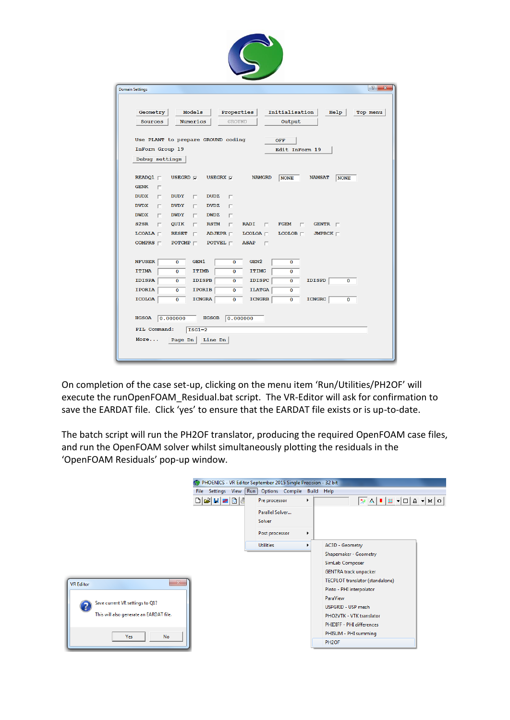| <b>Domain Settings</b>          | $\frac{2}{3}$<br>$-\mathbf{z}$                                                                                    |
|---------------------------------|-------------------------------------------------------------------------------------------------------------------|
|                                 |                                                                                                                   |
| Geometry                        | Models<br>Initialisation<br>Properties<br>Help<br>Top menu                                                        |
| <b>Sources</b>                  | Numerics<br><b>GROUND</b><br>Output                                                                               |
|                                 |                                                                                                                   |
|                                 | Use PLANT to prepare GROUND coding<br><b>OFF</b>                                                                  |
| InForm Group 19                 | Edit InForm 19                                                                                                    |
| Debug settings                  |                                                                                                                   |
|                                 |                                                                                                                   |
| READQ1                          | USEGRD $\nabla$<br>USEGRX $\overline{\mathbf{v}}$<br><b>NAMGRD</b><br><b>NAMSAT</b><br><b>NONE</b><br><b>NONE</b> |
| <b>GENK</b><br>п                |                                                                                                                   |
| <b>DUDX</b><br>п<br><b>DVDX</b> | <b>DUDY</b><br><b>DUDZ</b><br>п<br>п                                                                              |
| $\Box$<br><b>DWDX</b><br>П      | <b>DVDY</b><br><b>DVDZ</b><br>П.<br>П<br><b>DWDY</b><br>П.<br><b>DWDZ</b><br>П                                    |
| S2SR<br>п                       | <b>RSTM</b><br>QUIK<br>г.<br>$\Box$<br><b>RADI</b><br><b>FGEM</b><br>$\Box$<br>GENTR $\sqcap$<br>$\Box$           |
| LCOALA                          | $LCOLOA$ $\sqsubset$<br><b>RESET</b><br>$\Box$<br>ADJEPR $\sqcap$<br>$TCOTOB \Box$<br>JMPBCK $\sqsubset$          |
| COMPRS $\sqsubset$              | POTCMP $\sqcap$<br>POTVEL $\sqsubset$<br><b>ASAP</b><br>$\Box$                                                    |
|                                 |                                                                                                                   |
| <b>NFUSER</b>                   | $\mathbf 0$<br>GEN1<br>$\mathbf{0}$<br>GEN <sub>2</sub><br>$\mathbf 0$                                            |
| <b>ITIMA</b>                    | <b>ITIMB</b><br>$\overline{0}$<br>$\mathbf 0$<br><b>ITIMC</b><br>$\bf{0}$                                         |
| <b>IDISPA</b>                   | <b>IDISPB</b><br>$\bf{O}$<br><b>IDISPC</b><br><b>IDISPD</b><br>$\bf{0}$<br>O<br>$\bf{0}$                          |
| <b>IPORIA</b>                   | <b>IPORIB</b><br><b>ILATGA</b><br>$\Omega$<br>$\Omega$<br>$\Omega$                                                |
| <b>ICOLOA</b>                   | $\overline{0}$<br><b>ICNGRA</b><br><b>ICNGRB</b><br><b>ICNGRC</b><br>$\bf{0}$<br>$\bf{0}$<br>$\mathbf 0$          |
|                                 |                                                                                                                   |
| <b>HGSOA</b><br> 0.000000       | <b>HGSOB</b><br>0.000000                                                                                          |

On completion of the case set-up, clicking on the menu item 'Run/Utilities/PH2OF' will execute the runOpenFOAM\_Residual.bat script. The VR-Editor will ask for confirmation to save the EARDAT file. Click 'yes' to ensure that the EARDAT file exists or is up-to-date.

The batch script will run the PH2OF translator, producing the required OpenFOAM case files, and run the OpenFOAM solver whilst simultaneously plotting the residuals in the 'OpenFOAM Residuals' pop-up window.

|                                         | PHOENICS - VR Editor September 2015 Single Precision - 32 bit |                  |                       |                                 |  |
|-----------------------------------------|---------------------------------------------------------------|------------------|-----------------------|---------------------------------|--|
|                                         | File Settings View Run Options Compile Build Help             |                  |                       |                                 |  |
|                                         | D E H E D E                                                   | Pre processor    | Þ.                    |                                 |  |
|                                         |                                                               | Parallel Solver  |                       |                                 |  |
|                                         |                                                               | Solver           |                       |                                 |  |
|                                         |                                                               | Post processor   | $\blacktriangleright$ |                                 |  |
|                                         |                                                               | <b>Utilities</b> |                       | AC3D - Geometry                 |  |
|                                         |                                                               |                  |                       | Shapemaker - Geometry           |  |
|                                         |                                                               |                  |                       | SimLab Composer                 |  |
|                                         |                                                               |                  |                       | <b>GENTRA track unpacker</b>    |  |
| $\mathbf{X}$<br><b>VR Editor</b>        |                                                               |                  |                       | TECPLOT translator (standalone) |  |
|                                         |                                                               |                  |                       | Pinto - PHI interpolator        |  |
|                                         |                                                               |                  |                       | <b>ParaView</b>                 |  |
| Save current VR settings to Q1?         |                                                               |                  |                       | USPGRID - USP mesh              |  |
| This will also generate an EARDAT file. |                                                               |                  |                       | PHO2VTK - VTK translator        |  |
|                                         |                                                               |                  |                       | PHIDIFF - PHI differences       |  |
| <b>No</b><br>Yes                        |                                                               |                  |                       | PHISUM - PHI summing            |  |
|                                         |                                                               |                  |                       | PH <sub>2</sub> OF              |  |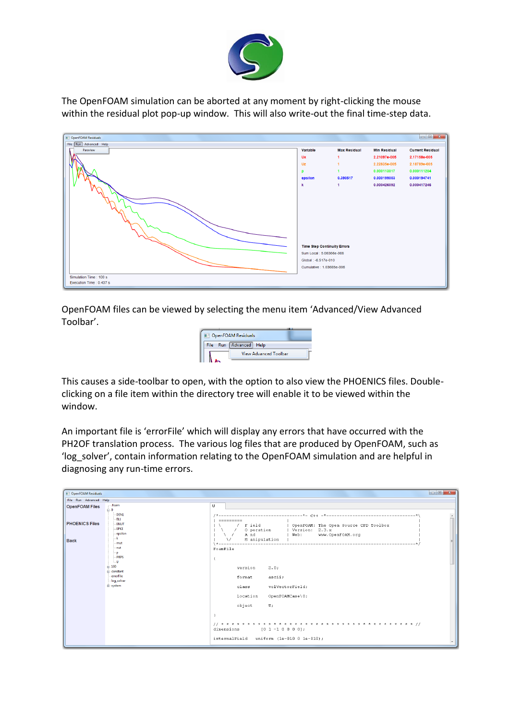

The OpenFOAM simulation can be aborted at any moment by right-clicking the mouse within the residual plot pop-up window. This will also write-out the final time-step data.

| OpenFOAM Residuals       |                                    |                     |                     |                         |
|--------------------------|------------------------------------|---------------------|---------------------|-------------------------|
| File Run Advanced Help   |                                    |                     |                     |                         |
| Paraview                 | Variable                           | <b>Max Residual</b> | <b>Min Residual</b> | <b>Current Residual</b> |
|                          | Ux                                 |                     | 2.21097e-005        | 2.17158e-005            |
|                          | Uz                                 |                     | 2.22835e-005        | 2.18789e-005            |
|                          | p                                  |                     | 0.000113017         | 0.000111204             |
|                          | epsilon                            | 0.390517            | 0.000199003         | 0.000194741             |
|                          | $\mathbf k$                        | -1                  | 0.000426092         | 0.000417246             |
|                          |                                    |                     |                     |                         |
|                          |                                    |                     |                     |                         |
|                          |                                    |                     |                     |                         |
|                          |                                    |                     |                     |                         |
|                          |                                    |                     |                     |                         |
|                          |                                    |                     |                     |                         |
|                          |                                    |                     |                     |                         |
|                          |                                    |                     |                     |                         |
|                          | <b>Time Step Continuity Errors</b> |                     |                     |                         |
|                          | Sum Local: 5.06366e-008            |                     |                     |                         |
|                          | Global: -6.517e-010                |                     |                     |                         |
|                          | Cumulative: 1.03685e-006           |                     |                     |                         |
|                          |                                    |                     |                     |                         |
| Simulation Time: 100 s   |                                    |                     |                     |                         |
| Execution Time : 0.437 s |                                    |                     |                     |                         |

OpenFOAM files can be viewed by selecting the menu item 'Advanced/View Advanced Toolbar'.

| <b>DenFOAM Residuals</b> |                              |  |  |  |
|--------------------------|------------------------------|--|--|--|
| File                     | Run Advanced Help            |  |  |  |
|                          | <b>View Advanced Toolbar</b> |  |  |  |

This causes a side-toolbar to open, with the option to also view the PHOENICS files. Doubleclicking on a file item within the directory tree will enable it to be viewed within the window.

An important file is 'errorFile' which will display any errors that have occurred with the PH2OF translation process. The various log files that are produced by OpenFOAM, such as 'log\_solver', contain information relating to the OpenFOAM simulation and are helpful in diagnosing any run-time errors.

| OpenFOAM Residuals                          |                                                                                   | $\begin{array}{c c c c c c} \hline \multicolumn{3}{c }{\mathbf{C}} & \multicolumn{3}{c }{\mathbf{C}} & \multicolumn{3}{c }{\mathbf{X}} \end{array}$                                                            |
|---------------------------------------------|-----------------------------------------------------------------------------------|----------------------------------------------------------------------------------------------------------------------------------------------------------------------------------------------------------------|
| File Run Advanced Help                      |                                                                                   |                                                                                                                                                                                                                |
| foam<br><b>OpenFOAM Files</b><br>$\oplus$ 0 | DEN1                                                                              | $\cup$                                                                                                                                                                                                         |
| <b>PHOENICS Files</b><br><b>Back</b>        | EL1<br><b>ENUT</b><br><b>EPKE</b><br>epsilon<br>- k                               | $=$ =========<br>F ield<br>  OpenFOAM: The Open Source CFD Toolbox<br>0 peration   Version: 2.3.x<br>A nd<br><b>Example 19 Media</b> 1996 1997<br>www.OpenFOAM.org<br>$\sim$<br>M anipulation<br>$\mathcal{M}$ |
| $= 100$<br>il-system                        | mut<br>- nut<br>$-$ p<br>- PRPS<br>i. u<br>ia-constant<br>errorFile<br>log_solver | FoamFile<br>2.0:<br>version<br>format<br>ascii;<br>class<br>volVectorField;<br>location<br>OpenFOAMCase\0;<br>object<br>U;<br>dimensions $[0 1 -1 0 0 0 0];$<br>internalField uniform (1e-010 0 1e-010);       |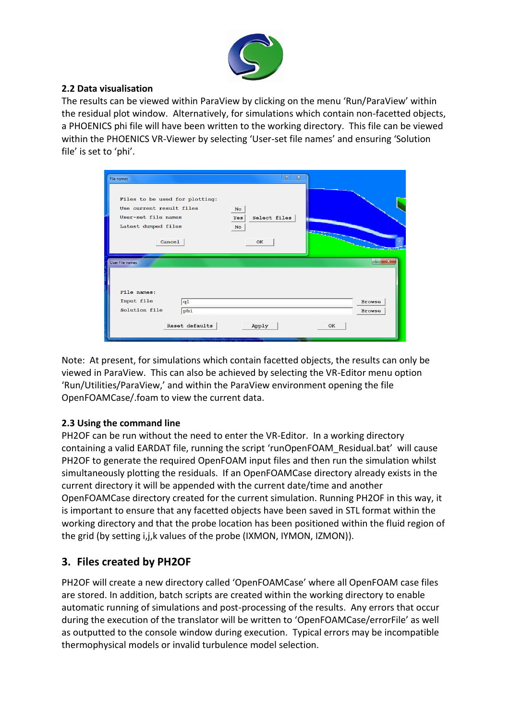

### **2.2 Data visualisation**

The results can be viewed within ParaView by clicking on the menu 'Run/ParaView' within the residual plot window. Alternatively, for simulations which contain non-facetted objects, a PHOENICS phi file will have been written to the working directory. This file can be viewed within the PHOENICS VR-Viewer by selecting 'User-set file names' and ensuring 'Solution file' is set to 'phi'.

| File names                                                                                                         | $\mathcal{P}$<br>$\Sigma$                           |                                |
|--------------------------------------------------------------------------------------------------------------------|-----------------------------------------------------|--------------------------------|
| Files to be used for plotting:<br>Use current result files<br>User-set file names<br>Latest dumped files<br>Cancel | <b>No</b><br>Select files<br>Yes<br><b>No</b><br>OK |                                |
| User File names<br>File names:                                                                                     |                                                     | x                              |
| Input file<br>q1<br>Solution file<br>phi                                                                           |                                                     | <b>Browse</b><br><b>Browse</b> |
| Reset defaults                                                                                                     | Apply<br>OK                                         |                                |

Note: At present, for simulations which contain facetted objects, the results can only be viewed in ParaView. This can also be achieved by selecting the VR-Editor menu option 'Run/Utilities/ParaView,' and within the ParaView environment opening the file OpenFOAMCase/.foam to view the current data.

## **2.3 Using the command line**

PH2OF can be run without the need to enter the VR-Editor. In a working directory containing a valid EARDAT file, running the script 'runOpenFOAM\_Residual.bat' will cause PH2OF to generate the required OpenFOAM input files and then run the simulation whilst simultaneously plotting the residuals. If an OpenFOAMCase directory already exists in the current directory it will be appended with the current date/time and another OpenFOAMCase directory created for the current simulation. Running PH2OF in this way, it is important to ensure that any facetted objects have been saved in STL format within the working directory and that the probe location has been positioned within the fluid region of the grid (by setting i,j,k values of the probe (IXMON, IYMON, IZMON)).

## **3. Files created by PH2OF**

PH2OF will create a new directory called 'OpenFOAMCase' where all OpenFOAM case files are stored. In addition, batch scripts are created within the working directory to enable automatic running of simulations and post-processing of the results. Any errors that occur during the execution of the translator will be written to 'OpenFOAMCase/errorFile' as well as outputted to the console window during execution. Typical errors may be incompatible thermophysical models or invalid turbulence model selection.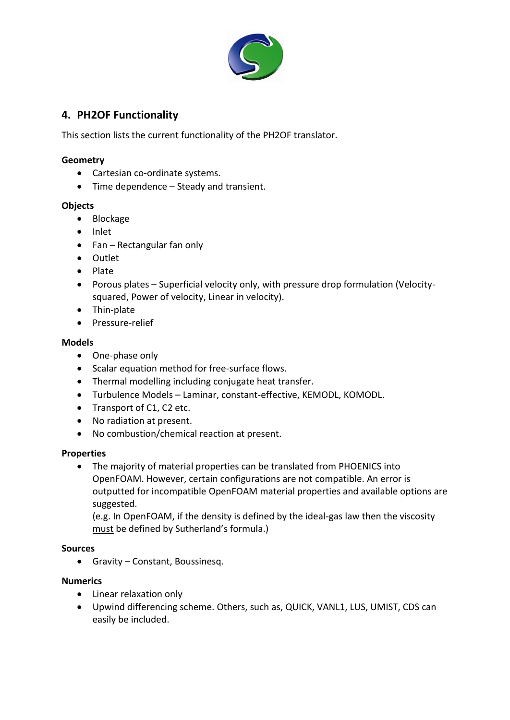

## **4. PH2OF Functionality**

This section lists the current functionality of the PH2OF translator.

#### **Geometry**

- Cartesian co-ordinate systems.
- Time dependence Steady and transient.

#### **Objects**

- Blockage
- Inlet
- Fan Rectangular fan only
- Outlet
- Plate
- Porous plates Superficial velocity only, with pressure drop formulation (Velocitysquared, Power of velocity, Linear in velocity).
- Thin-plate
- Pressure-relief

#### **Models**

- One-phase only
- Scalar equation method for free-surface flows.
- Thermal modelling including conjugate heat transfer.
- Turbulence Models Laminar, constant-effective, KEMODL, KOMODL.
- Transport of C1, C2 etc.
- No radiation at present.
- No combustion/chemical reaction at present.

#### **Properties**

 The majority of material properties can be translated from PHOENICS into OpenFOAM. However, certain configurations are not compatible. An error is outputted for incompatible OpenFOAM material properties and available options are suggested.

(e.g. In OpenFOAM, if the density is defined by the ideal-gas law then the viscosity must be defined by Sutherland's formula.)

#### **Sources**

Gravity – Constant, Boussinesq.

#### **Numerics**

- Linear relaxation only
- Upwind differencing scheme. Others, such as, QUICK, VANL1, LUS, UMIST, CDS can easily be included.